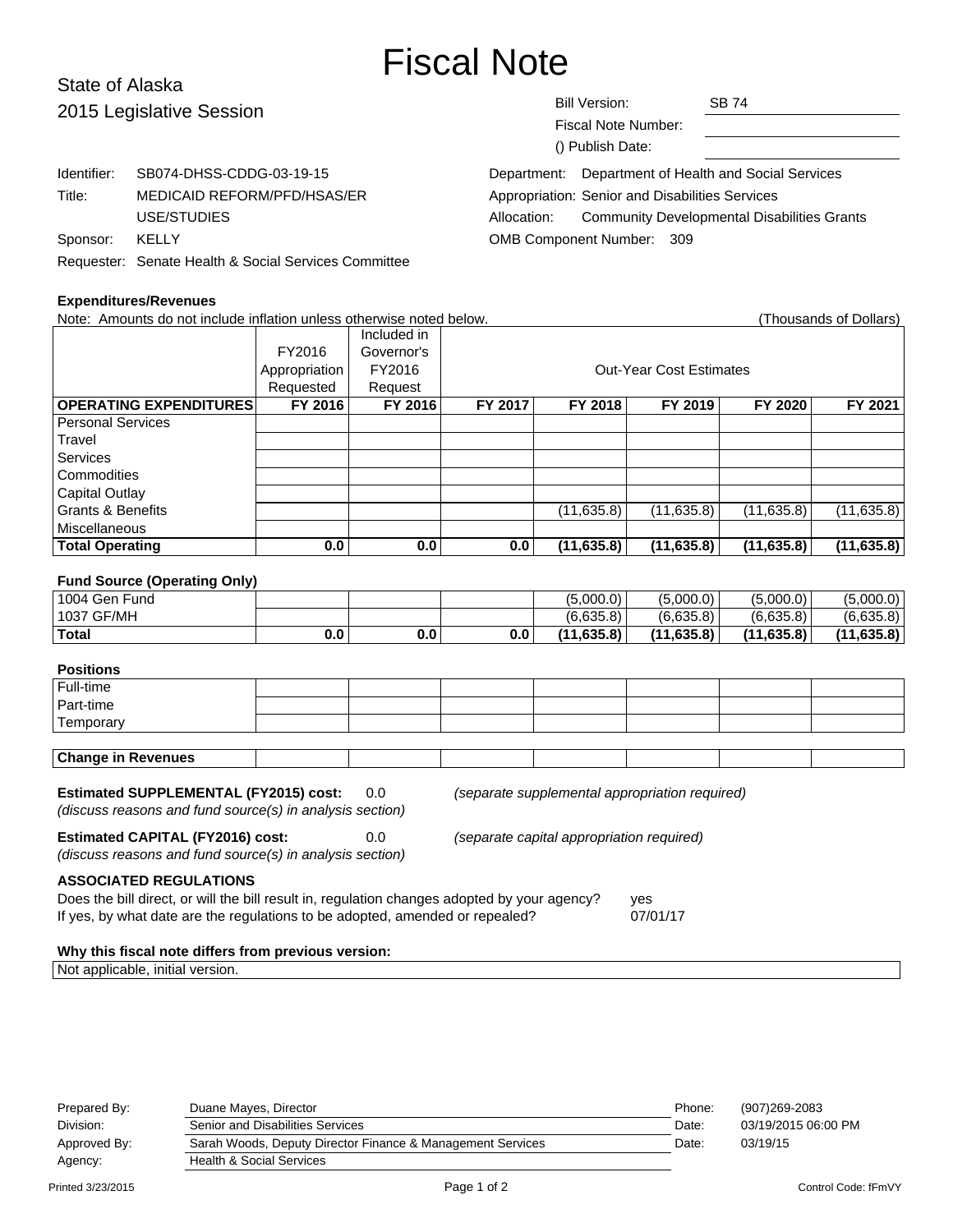# Fiscal Note

# State of Alaska 2015 Legislative Session

| 2015 Legislative Session |                                                      | <b>Bill Version:</b><br><b>SB 74</b><br>Fiscal Note Number:<br>() Publish Date: |  |  |  |  |
|--------------------------|------------------------------------------------------|---------------------------------------------------------------------------------|--|--|--|--|
| Identifier:              | SB074-DHSS-CDDG-03-19-15                             | Department of Health and Social Services<br>Department:                         |  |  |  |  |
| Title:                   | MEDICAID REFORM/PFD/HSAS/ER                          | Appropriation: Senior and Disabilities Services                                 |  |  |  |  |
|                          | USE/STUDIES                                          | <b>Community Developmental Disabilities Grants</b><br>Allocation:               |  |  |  |  |
| Sponsor:                 | <b>KELLY</b>                                         | OMB Component Number: 309                                                       |  |  |  |  |
|                          | Requester: Senate Health & Social Services Committee |                                                                                 |  |  |  |  |

#### **Expenditures/Revenues**

Note: Amounts do not include inflation unless otherwise noted below. Thousands of Dollars) (Thousands of Dollars) Included in FY2016 Governor's Appropriation FY2016 | Research Cut-Year Cost Estimates Requested Request **OPERATING EXPENDITURES FY 2016 FY 2016 FY 2017 FY 2018 FY 2019 FY 2020 FY 2021** Personal Services Travel **Services Commodities** Capital Outlay Grants & Benefits (11,635.8) (11,635.8) (11,635.8) (11,635.8) (11,635.8) (11,635.8) Miscellaneous **Total Operating 0.0 0.0 0.0 (11,635.8) (11,635.8) (11,635.8) (11,635.8) Fund Source (Operating Only)** 1004 Gen Fund **1001 Contract 1001 Contract 1001** (5,000.0) (5,000.0) (5,000.0) (5,000.0) (5,000.0) 1037 GF/MH (6,635.8) (6,635.8) (6,635.8) (6,635.8) **Total 0.0 0.0 0.0 (11,635.8) (11,635.8) (11,635.8) (11,635.8)**

#### **Positions**

| --------- |  |  |  |  |
|-----------|--|--|--|--|
| Full-time |  |  |  |  |
| Part-time |  |  |  |  |
| Temporary |  |  |  |  |
|           |  |  |  |  |

| <b>Change in Revenues</b> |  |
|---------------------------|--|
|---------------------------|--|

**Estimated SUPPLEMENTAL (FY2015) cost:** 0.0 (separate supplemental appropriation required)

(discuss reasons and fund source(s) in analysis section)

# **Estimated CAPITAL (FY2016) cost:** 0.0 (separate capital appropriation required)

(discuss reasons and fund source(s) in analysis section)

**ASSOCIATED REGULATIONS**

Does the bill direct, or will the bill result in, regulation changes adopted by your agency? yes If yes, by what date are the regulations to be adopted, amended or repealed? 07/01/17

#### **Why this fiscal note differs from previous version:**

Not applicable, initial version.

| Prepared By: | Duane Mayes, Director                                      | Phone: | (907)269-2083       |
|--------------|------------------------------------------------------------|--------|---------------------|
| Division:    | Senior and Disabilities Services                           | Date:  | 03/19/2015 06:00 PM |
| Approved By: | Sarah Woods, Deputy Director Finance & Management Services | Date:  | 03/19/15            |
| Agency:      | <b>Health &amp; Social Services</b>                        |        |                     |